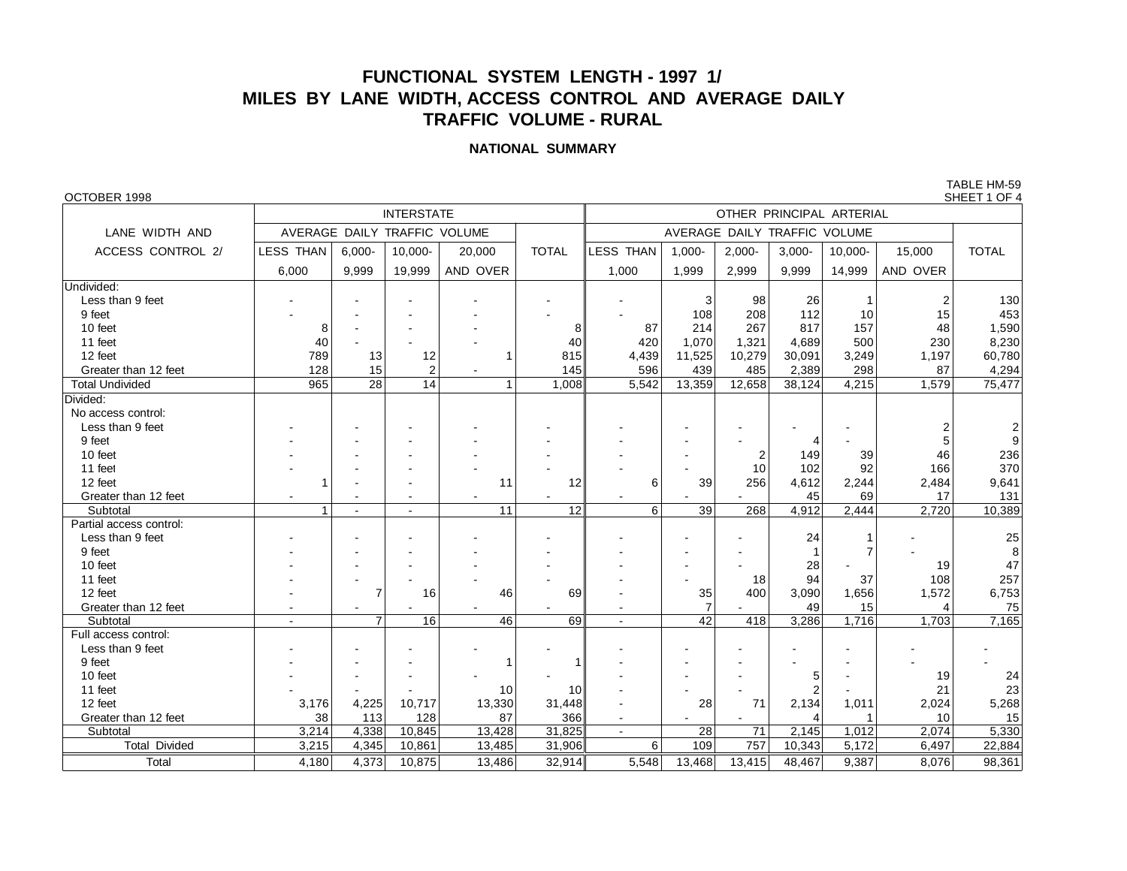# **FUNCTIONAL SYSTEM LENGTH - 1997 1/ MILES BY LANE WIDTH, ACCESS CONTROL AND AVERAGE DAILY TRAFFIC VOLUME - RURAL**

## **NATIONAL SUMMARY**

TABLE HM-59<br>SHEET 1 OF 4

| OCTOBER 1998            |                                                    |                             |                              |                  |                 |                              |                 |                |          |              |       | SHEET 1 OF 4   |  |  |  |
|-------------------------|----------------------------------------------------|-----------------------------|------------------------------|------------------|-----------------|------------------------------|-----------------|----------------|----------|--------------|-------|----------------|--|--|--|
|                         |                                                    | OTHER PRINCIPAL ARTERIAL    |                              |                  |                 |                              |                 |                |          |              |       |                |  |  |  |
| LANE WIDTH AND          |                                                    |                             | AVERAGE DAILY TRAFFIC VOLUME |                  |                 | AVERAGE DAILY TRAFFIC VOLUME |                 |                |          |              |       |                |  |  |  |
| ACCESS CONTROL 2/       | <b>LESS THAN</b><br>10,000-<br>$6,000 -$<br>20,000 |                             | <b>TOTAL</b>                 | <b>LESS THAN</b> | $1,000 -$       | $2,000 -$                    | $3,000 -$       | 10,000-        | 15,000   | <b>TOTAL</b> |       |                |  |  |  |
|                         | 6,000                                              | 9,999<br>19,999<br>AND OVER |                              | 1,000            | 1,999           | 2,999                        | 9,999           | 14,999         | AND OVER |              |       |                |  |  |  |
| Undivided:              |                                                    |                             |                              |                  |                 |                              |                 |                |          |              |       |                |  |  |  |
| Less than 9 feet        |                                                    |                             |                              |                  |                 |                              | 3               | 98             | 26       |              | 2     | 130            |  |  |  |
| 9 feet                  |                                                    |                             |                              |                  |                 |                              | 108             | 208            | 112      | 10           | 15    | 453            |  |  |  |
| 10 feet                 | 8                                                  |                             |                              |                  | 8               | 87                           | 214             | 267            | 817      | 157          | 48    | 1,590          |  |  |  |
| 11 feet                 | 40                                                 |                             |                              |                  | 40              | 420                          | 1,070           | 1,321          | 4,689    | 500          | 230   | 8,230          |  |  |  |
| 12 feet                 | 789                                                | 13                          | 12                           | 1                | 815             | 4,439                        | 11,525          | 10,279         | 30,091   | 3,249        | 1,197 | 60,780         |  |  |  |
| Greater than 12 feet    | 128                                                | 15                          | $\overline{2}$               |                  | 145             | 596                          | 439             | 485            | 2,389    | 298          | 87    | 4,294          |  |  |  |
| <b>Total Undivided</b>  | 965                                                | 28                          | 14                           | 1                | 1.008           | 5.542                        | 13,359          | 12,658         | 38,124   | 4,215        | 1.579 | 75,477         |  |  |  |
| Divided:                |                                                    |                             |                              |                  |                 |                              |                 |                |          |              |       |                |  |  |  |
| No access control:      |                                                    |                             |                              |                  |                 |                              |                 |                |          |              |       |                |  |  |  |
| Less than 9 feet        |                                                    |                             |                              |                  |                 |                              |                 |                |          |              | 2     | $\overline{2}$ |  |  |  |
| 9 feet                  |                                                    |                             |                              |                  |                 |                              |                 |                |          |              | 5     | 9              |  |  |  |
| 10 feet                 |                                                    |                             |                              |                  |                 |                              |                 | $\overline{2}$ | 149      | 39           | 46    | 236            |  |  |  |
| 11 feet                 |                                                    |                             |                              |                  |                 |                              |                 | 10             | 102      | 92           | 166   | 370            |  |  |  |
| 12 feet                 |                                                    |                             |                              | 11               | 12              | 6                            | 39              | 256            | 4,612    | 2,244        | 2,484 | 9,641          |  |  |  |
| Greater than 12 feet    |                                                    |                             |                              |                  |                 |                              |                 |                | 45       | 69           | 17    | 131            |  |  |  |
| Subtotal                |                                                    | ÷.                          | $\sim$                       | $\overline{11}$  | $\overline{12}$ | $\overline{6}$               | $\overline{39}$ | 268            | 4.912    | 2.444        | 2.720 | 10,389         |  |  |  |
| Partial access control: |                                                    |                             |                              |                  |                 |                              |                 |                |          |              |       |                |  |  |  |
| Less than 9 feet        |                                                    |                             |                              |                  |                 |                              |                 |                | 24       |              |       | 25             |  |  |  |
| 9 feet                  |                                                    |                             |                              |                  |                 |                              |                 |                |          | 7            |       | 8              |  |  |  |
| 10 feet                 |                                                    |                             |                              |                  |                 |                              |                 |                | 28       |              | 19    | 47             |  |  |  |
| 11 feet                 |                                                    |                             |                              |                  |                 |                              |                 | 18             | 94       | 37           | 108   | 257            |  |  |  |
| 12 feet                 |                                                    | $\overline{7}$              | 16                           | 46               | 69              |                              | 35              | 400            | 3,090    | 1,656        | 1,572 | 6,753          |  |  |  |
| Greater than 12 feet    |                                                    |                             |                              |                  |                 |                              | $\overline{7}$  |                | 49       | 15           | 4     | 75             |  |  |  |
| Subtotal                |                                                    | $\overline{7}$              | 16                           | 46               | 69              |                              | 42              | 418            | 3.286    | 1,716        | 1.703 | 7.165          |  |  |  |
| Full access control:    |                                                    |                             |                              |                  |                 |                              |                 |                |          |              |       |                |  |  |  |
| Less than 9 feet        |                                                    |                             |                              |                  |                 |                              |                 |                |          |              |       |                |  |  |  |
| 9 feet                  |                                                    |                             |                              | 1                |                 |                              |                 |                |          |              |       |                |  |  |  |
| 10 feet                 |                                                    |                             |                              |                  |                 |                              |                 |                | 5        |              | 19    | 24             |  |  |  |
| 11 feet                 |                                                    |                             |                              | 10               | 10              |                              |                 |                |          |              | 21    | 23             |  |  |  |
| 12 feet                 | 3,176                                              | 4,225                       | 10,717                       | 13,330           | 31,448          |                              | 28              | 71             | 2,134    | 1,011        | 2,024 | 5,268          |  |  |  |
| Greater than 12 feet    | 38                                                 | 113                         | 128                          | 87               | 366             | $\blacksquare$               |                 |                | 4        | $\mathbf 1$  | 10    | 15             |  |  |  |
| Subtotal                | 3,214                                              | 4,338                       | 10,845                       | 13,428           | 31,825          | $\mathbf{r}$                 | 28              | 71             | 2,145    | 1,012        | 2,074 | 5,330          |  |  |  |
| <b>Total Divided</b>    | 3,215                                              | 4,345                       | 10,861                       | 13,485           | 31,906          | 6                            | 109             | 757            | 10,343   | 5,172        | 6,497 | 22,884         |  |  |  |
| Total                   | 4,180                                              | 4,373                       | 10.875                       | 13,486           | 32,914          | 5,548                        | 13,468          | 13,415         | 48.467   | 9,387        | 8.076 | 98,361         |  |  |  |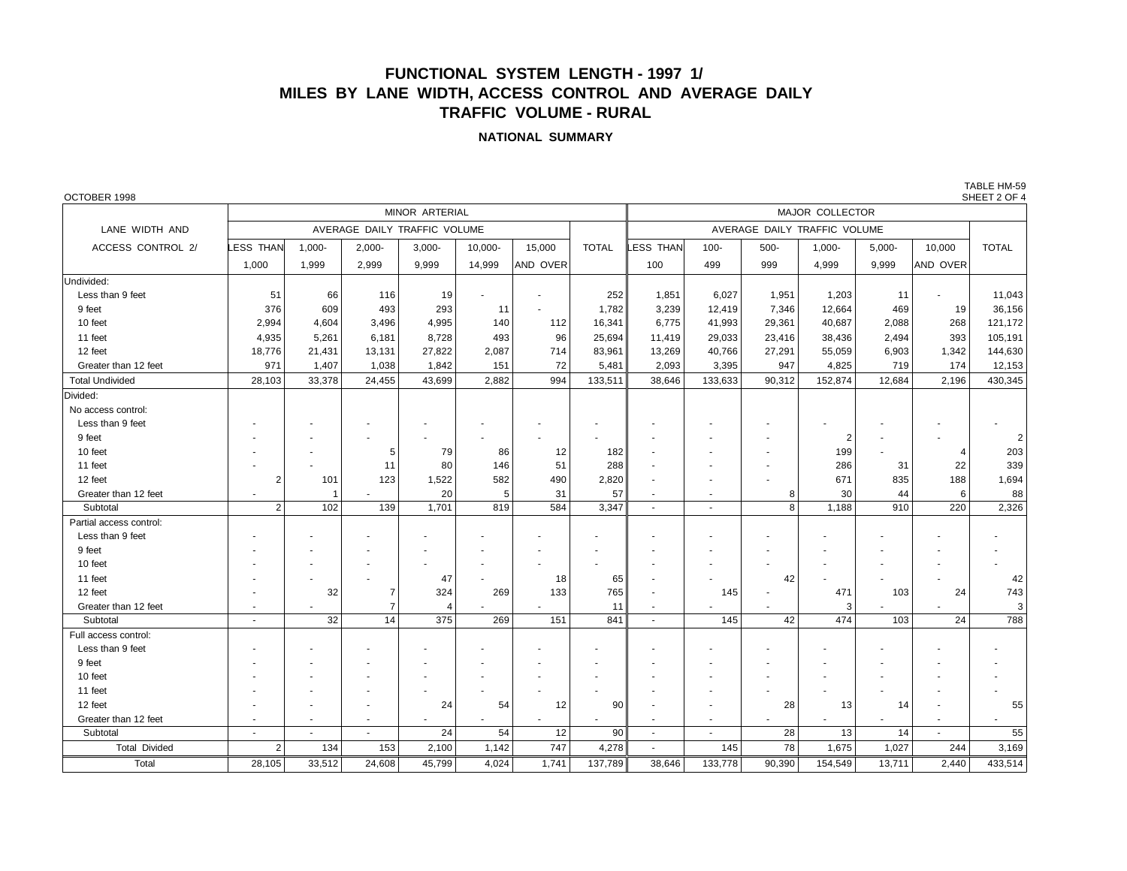## **FUNCTIONAL SYSTEM LENGTH - 1997 1/ MILES BY LANE WIDTH, ACCESS CONTROL AND AVERAGE DAILY TRAFFIC VOLUME - RURAL**

#### **NATIONAL SUMMARY**

TABLE HM-59

| OCTOBER 1998            |                 |                |                              |                |         |                |                 |          |                          |         |                |           |                          | SHEET 2 OF 4   |  |  |
|-------------------------|-----------------|----------------|------------------------------|----------------|---------|----------------|-----------------|----------|--------------------------|---------|----------------|-----------|--------------------------|----------------|--|--|
|                         |                 |                |                              | MINOR ARTERIAL |         |                | MAJOR COLLECTOR |          |                          |         |                |           |                          |                |  |  |
| LANE WIDTH AND          |                 |                | AVERAGE DAILY TRAFFIC VOLUME |                |         |                |                 |          |                          |         |                |           |                          |                |  |  |
| ACCESS CONTROL 2/       | <b>ESS THAN</b> | $1.000 -$      | $2,000 -$                    | $3,000 -$      | 10.000- | 15,000         | <b>TOTAL</b>    | ESS THAN | $100 -$                  | $500 -$ | $1.000 -$      | $5.000 -$ | 10,000                   | <b>TOTAL</b>   |  |  |
|                         | 1,000           | 1,999          | 2,999                        | 9,999          | 14,999  | AND OVER       |                 | 100      | 499                      | 999     | 4,999          | 9,999     | AND OVER                 |                |  |  |
| Undivided:              |                 |                |                              |                |         |                |                 |          |                          |         |                |           |                          |                |  |  |
| Less than 9 feet        | 51              | 66             | 116                          | 19             |         |                | 252             | 1,851    | 6,027                    | 1,951   | 1,203          | 11        |                          | 11,043         |  |  |
| 9 feet                  | 376             | 609            | 493                          | 293            | 11      |                | 1,782           | 3,239    | 12,419                   | 7,346   | 12,664         | 469       | 19                       | 36,156         |  |  |
| 10 feet                 | 2,994           | 4,604          | 3,496                        | 4,995          | 140     | 112            | 16,341          | 6,775    | 41,993                   | 29,361  | 40,687         | 2,088     | 268                      | 121,172        |  |  |
| 11 feet                 | 4,935           | 5,261          | 6,181                        | 8,728          | 493     | 96             | 25,694          | 11,419   | 29,033                   | 23,416  | 38,436         | 2,494     | 393                      | 105,191        |  |  |
| 12 feet                 | 18,776          | 21,431         | 13,131                       | 27,822         | 2,087   | 714            | 83,961          | 13,269   | 40,766                   | 27,291  | 55,059         | 6,903     | 1,342                    | 144,630        |  |  |
| Greater than 12 feet    | 971             | 1,407          | 1,038                        | 1,842          | 151     | 72             | 5,481           | 2,093    | 3,395                    | 947     | 4,825          | 719       | 174                      | 12,153         |  |  |
| <b>Total Undivided</b>  | 28,103          | 33,378         | 24,455                       | 43,699         | 2,882   | 994            | 133,511         | 38,646   | 133,633                  | 90,312  | 152,874        | 12,684    | 2,196                    | 430,345        |  |  |
| Divided:                |                 |                |                              |                |         |                |                 |          |                          |         |                |           |                          |                |  |  |
| No access control:      |                 |                |                              |                |         |                |                 |          |                          |         |                |           |                          |                |  |  |
| Less than 9 feet        |                 |                |                              |                |         |                |                 |          |                          |         |                |           |                          |                |  |  |
| 9 feet                  |                 |                |                              |                |         |                |                 |          |                          |         | $\overline{2}$ |           |                          | 2              |  |  |
| 10 feet                 |                 |                | 5                            | 79             | 86      | 12             | 182             |          |                          |         | 199            |           | 4                        | 203            |  |  |
| 11 feet                 |                 |                | 11                           | 80             | 146     | 51             | 288             |          |                          |         | 286            | 31        | 22                       | 339            |  |  |
| 12 feet                 | 2               | 101            | 123                          | 1,522          | 582     | 490            | 2,820           |          |                          |         | 671            | 835       | 188                      | 1,694          |  |  |
| Greater than 12 feet    |                 | $\overline{1}$ |                              | 20             | 5       | 31             | 57              |          | $\blacksquare$           | 8       | 30             | 44        | 6                        | 88             |  |  |
| Subtotal                | $\overline{2}$  | 102            | 139                          | 1,701          | 819     | 584            | 3,347           | $\sim$   | $\overline{\phantom{a}}$ | 8       | 1,188          | 910       | 220                      | 2,326          |  |  |
| Partial access control: |                 |                |                              |                |         |                |                 |          |                          |         |                |           |                          |                |  |  |
| Less than 9 feet        |                 |                |                              |                |         |                |                 |          |                          |         |                |           |                          |                |  |  |
| 9 feet                  |                 |                |                              |                |         |                |                 |          |                          |         |                |           |                          |                |  |  |
| 10 feet                 |                 |                |                              |                |         |                |                 |          |                          |         |                |           |                          |                |  |  |
| 11 feet                 |                 |                |                              | 47             |         | 18             | 65              |          |                          | 42      |                |           |                          | 42             |  |  |
| 12 feet                 |                 | 32             |                              | 324            | 269     | 133            | 765             |          | 145                      |         | 471            | 103       | 24                       | 743            |  |  |
| Greater than 12 feet    | $\overline{a}$  |                | $\overline{7}$               | 4              |         |                | 11              | $\sim$   |                          |         | 3              |           |                          | 3 <sup>1</sup> |  |  |
| Subtotal                | $\sim$          | 32             | 14                           | 375            | 269     | 151            | 841             | $\sim$   | 145                      | 42      | 474            | 103       | 24                       | 788            |  |  |
| Full access control:    |                 |                |                              |                |         |                |                 |          |                          |         |                |           |                          |                |  |  |
| Less than 9 feet        |                 |                |                              |                |         |                |                 |          |                          |         |                |           |                          |                |  |  |
| 9 feet                  |                 |                |                              |                |         |                |                 |          |                          |         |                |           |                          |                |  |  |
| 10 feet                 |                 |                |                              |                |         |                |                 |          |                          |         |                |           |                          |                |  |  |
| 11 feet                 |                 |                |                              |                |         |                |                 |          |                          |         |                |           |                          |                |  |  |
| 12 feet                 |                 |                |                              | 24             | 54      | 12             | 90              |          |                          | 28      | 13             | 14        |                          | 55             |  |  |
| Greater than 12 feet    | $\sim$          |                | $\overline{\phantom{a}}$     | $\blacksquare$ |         | $\blacksquare$ |                 | $\sim$   | $\blacksquare$           |         | $\blacksquare$ |           | $\overline{\phantom{a}}$ | $\sim$         |  |  |
| Subtotal                |                 |                | $\sim$                       | 24             | 54      | 12             | 90              | $\sim$   | $\overline{\phantom{a}}$ | 28      | 13             | 14        | ÷,                       | 55             |  |  |
| <b>Total Divided</b>    | $\overline{2}$  | 134            | 153                          | 2,100          | 1,142   | 747            | 4,278           | $\sim$   | 145                      | 78      | 1,675          | 1,027     | 244                      | 3,169          |  |  |
| Total                   | 28,105          | 33,512         | 24,608                       | 45,799         | 4,024   | 1,741          | 137,789         | 38,646   | 133,778                  | 90,390  | 154,549        | 13,711    | 2.440                    | 433,514        |  |  |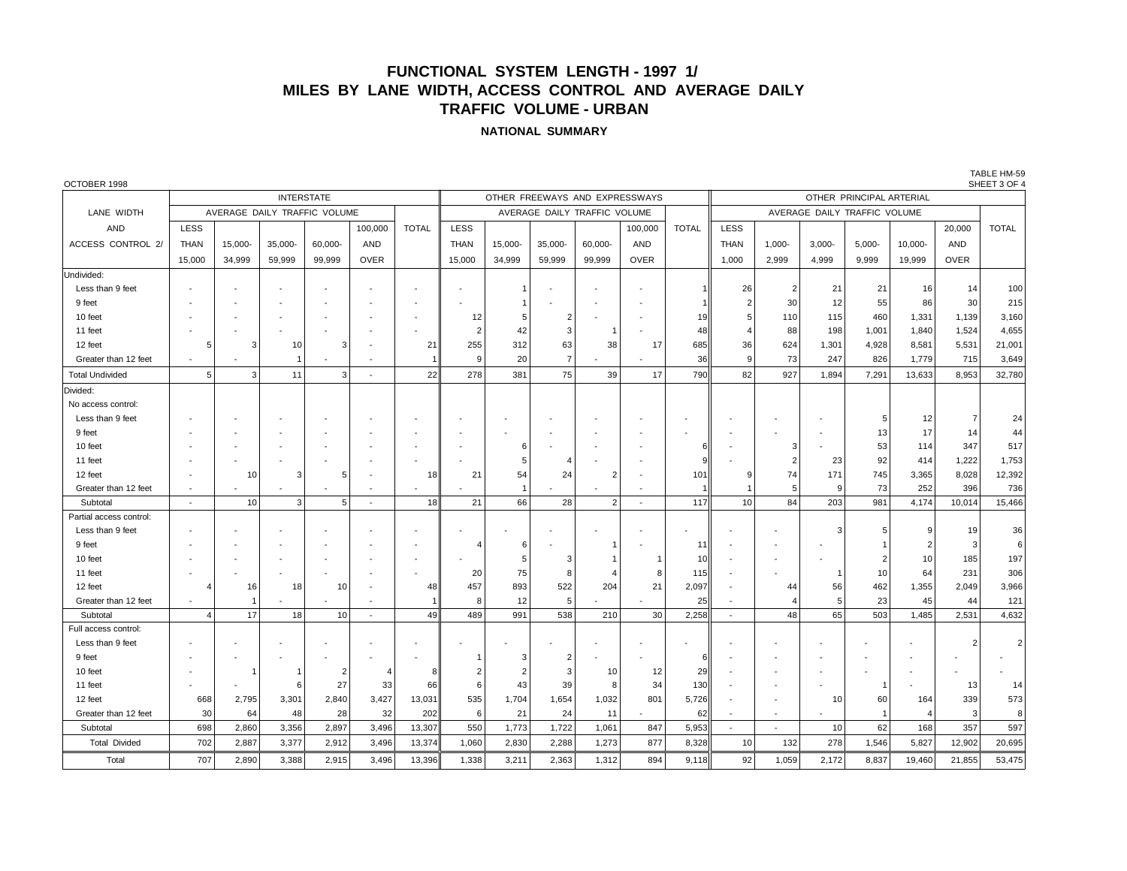# **FUNCTIONAL SYSTEM LENGTH - 1997 1/ MILES BY LANE WIDTH, ACCESS CONTROL AND AVERAGE DAILY TRAFFIC VOLUME - URBAN**

#### **NATIONAL SUMMARY**

| OCTOBER 1998             |                   |         |                              |                          |                          |              |                              |         |                                |                |             |              |                          |                              |           |        |         |             | SHEET 3 OF 4 |  |
|--------------------------|-------------------|---------|------------------------------|--------------------------|--------------------------|--------------|------------------------------|---------|--------------------------------|----------------|-------------|--------------|--------------------------|------------------------------|-----------|--------|---------|-------------|--------------|--|
|                          | <b>INTERSTATE</b> |         |                              |                          |                          |              |                              |         | OTHER FREEWAYS AND EXPRESSWAYS |                |             |              | OTHER PRINCIPAL ARTERIAL |                              |           |        |         |             |              |  |
| LANE WIDTH               |                   |         | AVERAGE DAILY TRAFFIC VOLUME |                          |                          |              | AVERAGE DAILY TRAFFIC VOLUME |         |                                |                |             |              |                          | AVERAGE DAILY TRAFFIC VOLUME |           |        |         |             |              |  |
| AND                      | LESS              |         |                              |                          | 100,000                  | <b>TOTAL</b> | LESS                         |         |                                |                | 100,000     | <b>TOTAL</b> | LESS                     |                              |           |        |         | 20,000      | <b>TOTAL</b> |  |
| <b>ACCESS CONTROL 2/</b> | <b>THAN</b>       | 15.000- | 35,000-                      | 60,000-                  | AND                      |              | <b>THAN</b>                  | 15,000- | 35,000-                        | 60.000-        | <b>AND</b>  |              | <b>THAN</b>              | $1.000 -$                    | $3,000 -$ | 5,000- | 10,000- | AND         |              |  |
|                          | 15,000            | 34,999  | 59,999                       | 99,999                   | <b>OVER</b>              |              | 15,000                       | 34,999  | 59,999                         | 99,999         | <b>OVER</b> |              | 1,000                    | 2,999                        | 4,999     | 9,999  | 19,999  | <b>OVER</b> |              |  |
| Undivided:               |                   |         |                              |                          |                          |              |                              |         |                                |                |             |              |                          |                              |           |        |         |             |              |  |
| Less than 9 feet         |                   |         |                              |                          |                          |              |                              |         |                                |                |             |              | 26                       | $\overline{2}$               | 21        | 21     | 16      | 14          | 100          |  |
| 9 feet                   |                   |         |                              |                          |                          |              |                              |         |                                |                |             |              | 2                        | 30                           | 12        | 55     | 86      | 30          | 215          |  |
| 10 feet                  |                   |         |                              |                          |                          |              | 12                           |         |                                |                |             | 19           |                          | 110                          | 115       | 460    | 1,331   | 1,139       | 3,160        |  |
| 11 feet                  |                   |         |                              |                          |                          |              | $\overline{2}$               | 42      |                                |                |             | 48           |                          | 88                           | 198       | 1,001  | 1,840   | 1,524       | 4,655        |  |
| 12 feet                  | 5                 | 3       | 10                           | з                        |                          | 21           | 255                          | 312     | 63                             | 38             | 17          | 685          | 36                       | 624                          | 1,301     | 4,928  | 8,581   | 5,531       | 21,001       |  |
| Greater than 12 feet     |                   |         |                              |                          |                          |              | 9                            | 20      | 7                              |                |             | 36           | $\mathbf{Q}$             | 73                           | 247       | 826    | 1,779   | 715         | 3,649        |  |
| <b>Total Undivided</b>   | 5                 | 3       | 11                           | 3                        | $\overline{\phantom{a}}$ | 22           | 278                          | 381     | 75                             | 39             | 17          | 790          | 82                       | 927                          | 1,894     | 7,291  | 13,633  | 8.953       | 32,780       |  |
| Divided:                 |                   |         |                              |                          |                          |              |                              |         |                                |                |             |              |                          |                              |           |        |         |             |              |  |
| No access control:       |                   |         |                              |                          |                          |              |                              |         |                                |                |             |              |                          |                              |           |        |         |             |              |  |
| Less than 9 feet         |                   |         |                              |                          |                          |              |                              |         |                                |                |             |              |                          |                              |           | -5     | 12      | -7          | 24           |  |
| 9 feet                   |                   |         |                              |                          |                          |              |                              |         |                                |                |             |              |                          |                              |           | 13     | 17      | 14          | 44           |  |
| 10 feet                  |                   |         |                              |                          |                          |              |                              |         |                                |                |             |              |                          | З                            |           | 53     | 114     | 347         | 517          |  |
| 11 feet                  |                   |         |                              |                          |                          |              |                              |         |                                |                |             |              |                          | 2                            | 23        | 92     | 414     | 1,222       | 1,753        |  |
| 12 feet                  |                   | 10      | з                            |                          |                          | 18           | 21                           | 54      | 24                             | $\overline{2}$ |             | 101          |                          | 74                           | 171       | 745    | 3,365   | 8,028       | 12,392       |  |
| Greater than 12 feet     | $\blacksquare$    |         |                              | $\overline{\phantom{a}}$ | $\overline{\phantom{a}}$ |              |                              |         |                                |                |             |              |                          | 5                            | <b>q</b>  | 73     | 252     | 396         | 736          |  |
| Subtotal                 | $\blacksquare$    | 10      | 3                            | 5                        | ÷                        | 18           | 21                           | 66      | 28                             | $\overline{2}$ | ٠           | 117          | 10                       | 84                           | 203       | 981    | 4,174   | 10,014      | 15,466       |  |
| Partial access control:  |                   |         |                              |                          |                          |              |                              |         |                                |                |             |              |                          |                              |           |        |         |             |              |  |
| Less than 9 feet         |                   |         |                              |                          |                          |              |                              |         |                                |                |             |              |                          |                              |           |        |         | 19          | 36           |  |
| 9 feet                   |                   |         |                              |                          |                          |              | $\overline{4}$               | ĥ       |                                |                |             | 11           |                          |                              |           |        |         | 3           | 6            |  |
| 10 feet                  |                   |         |                              |                          |                          |              |                              |         |                                |                |             | 10           |                          |                              |           |        | 10      | 185         | 197          |  |
| 11 feet                  |                   |         |                              |                          |                          |              | 20                           | 75      | 8                              |                | 8           | 115          |                          |                              |           | 10     | 64      | 231         | 306          |  |
| 12 feet                  |                   | 16      | 18                           | 10                       | $\overline{a}$           | 48           | 457                          | 893     | 522                            | 204            | 21          | 2,097        |                          | 44                           | 56        | 462    | 1,355   | 2,049       | 3,966        |  |
| Greater than 12 feet     |                   |         |                              |                          |                          |              | 8                            | 12      | 5                              |                |             | 25           |                          |                              | 5         | 23     | 45      | 44          | 121          |  |
| Subtotal                 | $\overline{4}$    | 17      | 18                           | 10                       | $\overline{\phantom{a}}$ | 49           | 489                          | 991     | 538                            | 210            | 30          | 2,258        | $\overline{\phantom{a}}$ | 48                           | 65        | 503    | 1,485   | 2,531       | 4,632        |  |
| Full access control:     |                   |         |                              |                          |                          |              |                              |         |                                |                |             |              |                          |                              |           |        |         |             |              |  |
| Less than 9 feet         |                   |         |                              |                          |                          |              |                              |         |                                |                |             |              |                          |                              |           |        |         |             | 2            |  |
| 9 feet                   |                   |         |                              |                          |                          |              |                              |         |                                |                |             | 6            |                          |                              |           |        |         |             |              |  |
| 10 feet                  |                   |         |                              | $\overline{2}$           |                          | 8            | 2                            |         | 3                              | 10             | 12          | 29           |                          |                              |           |        |         |             |              |  |
| 11 feet                  |                   |         | 6                            | 27                       | 33                       | 66           | 6                            | 43      | 39                             | 8              | 34          | 130          |                          |                              |           |        |         | 13          | 14           |  |
| 12 feet                  | 668               | 2,795   | 3,301                        | 2,840                    | 3,427                    | 13,031       | 535                          | 1,704   | 1,654                          | 1,032          | 801         | 5,726        |                          |                              | 10        | 60     | 164     | 339         | 573          |  |
| Greater than 12 feet     | 30                | 64      | 48                           | 28                       | 32                       | 202          | 6                            | 21      | 24                             | 11             |             | 62           |                          |                              |           |        |         | 3           | 8            |  |
| Subtotal                 | 698               | 2,860   | 3,356                        | 2,897                    | 3,496                    | 13,307       | 550                          | 1,773   | 1,722                          | 1,061          | 847         | 5,953        | ٠                        |                              | 10        | 62     | 168     | 357         | 597          |  |
| <b>Total Divided</b>     | 702               | 2,887   | 3,377                        | 2,912                    | 3,496                    | 13,374       | 1,060                        | 2,830   | 2,288                          | 1,273          | 877         | 8,328        | 10                       | 132                          | 278       | 1,546  | 5,827   | 12,902      | 20,695       |  |

Total 707 | 2,890 | 3,388 | 2,915 | 3,496 | 13,396 || 1,338 | 3,211 | 2,363 | 1,312 | 894 | 9,118 || 92 | 1,059 | 2,172 | 8,837 | 19,460 | 21,855

TABLE HM-59